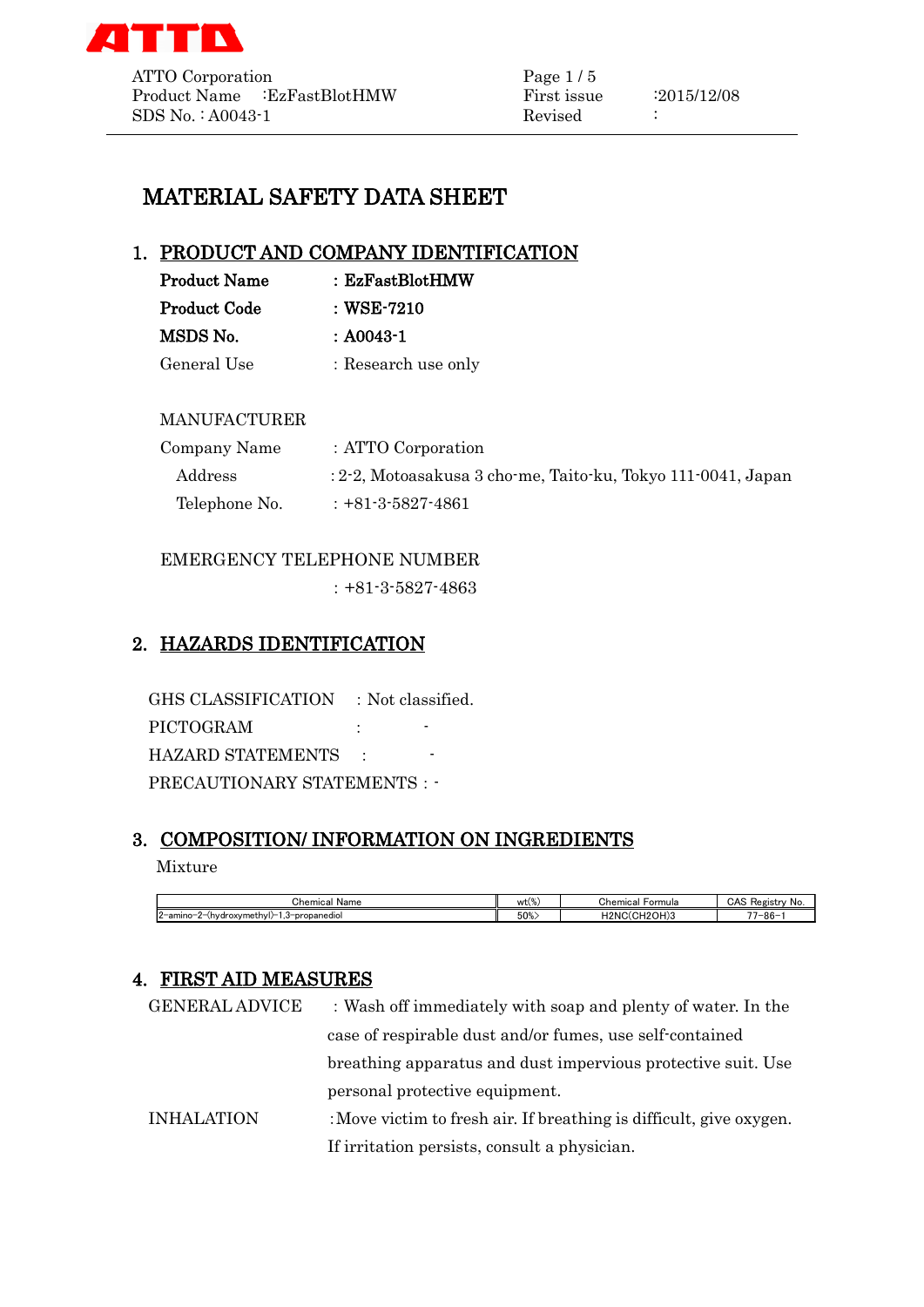

# MATERIAL SAFETY DATA SHEET

## 1. PRODUCT AND COMPANY IDENTIFICATION

| <b>Product Name</b> | : EzFastBlotHMW     |
|---------------------|---------------------|
| <b>Product Code</b> | $\pm$ WSE-7210      |
| MSDS No.            | $: A0043-1$         |
| General Use         | : Research use only |

#### MANUFACTURER

| Company Name  | : ATTO Corporation                                           |
|---------------|--------------------------------------------------------------|
| Address       | : 2-2, Motoasakusa 3 cho-me, Taito-ku, Tokyo 111-0041, Japan |
| Telephone No. | $: +81 - 3 - 5827 - 4861$                                    |

#### EMERGENCY TELEPHONE NUMBER

:+81-3-5827-4863

## 2. HAZARDS IDENTIFICATION

GHS CLASSIFICATION : Not classified. PICTOGRAM :  $\qquad \qquad$ HAZARD STATEMENTS : PRECAUTIONARY STATEMENTS : -

# 3. COMPOSITION/ INFORMATION ON INGREDIENTS

#### Mixture

| Chemical<br>Name                                                         | wt(% | Chemical<br>≻ormula           | CAS<br>-<br>Registr<br>∸ No. |
|--------------------------------------------------------------------------|------|-------------------------------|------------------------------|
| $\sim$<br>-amino-<br>)−2−(hvdroxvmethvl)−1<br>3-propanediol<br>ن.<br>' 4 | 50%  | H <sub>2</sub> NC<br>(СН2ОН)3 | $-1$<br>7-86-                |

## 4. FIRST AID MEASURES

| <b>GENERAL ADVICE</b> | : Wash off immediately with soap and plenty of water. In the        |
|-----------------------|---------------------------------------------------------------------|
|                       | case of respirable dust and/or fumes, use self-contained            |
|                       | breathing apparatus and dust impervious protective suit. Use        |
|                       | personal protective equipment.                                      |
| <b>INHALATION</b>     | : Move victim to fresh air. If breathing is difficult, give oxygen. |
|                       | If irritation persists, consult a physician.                        |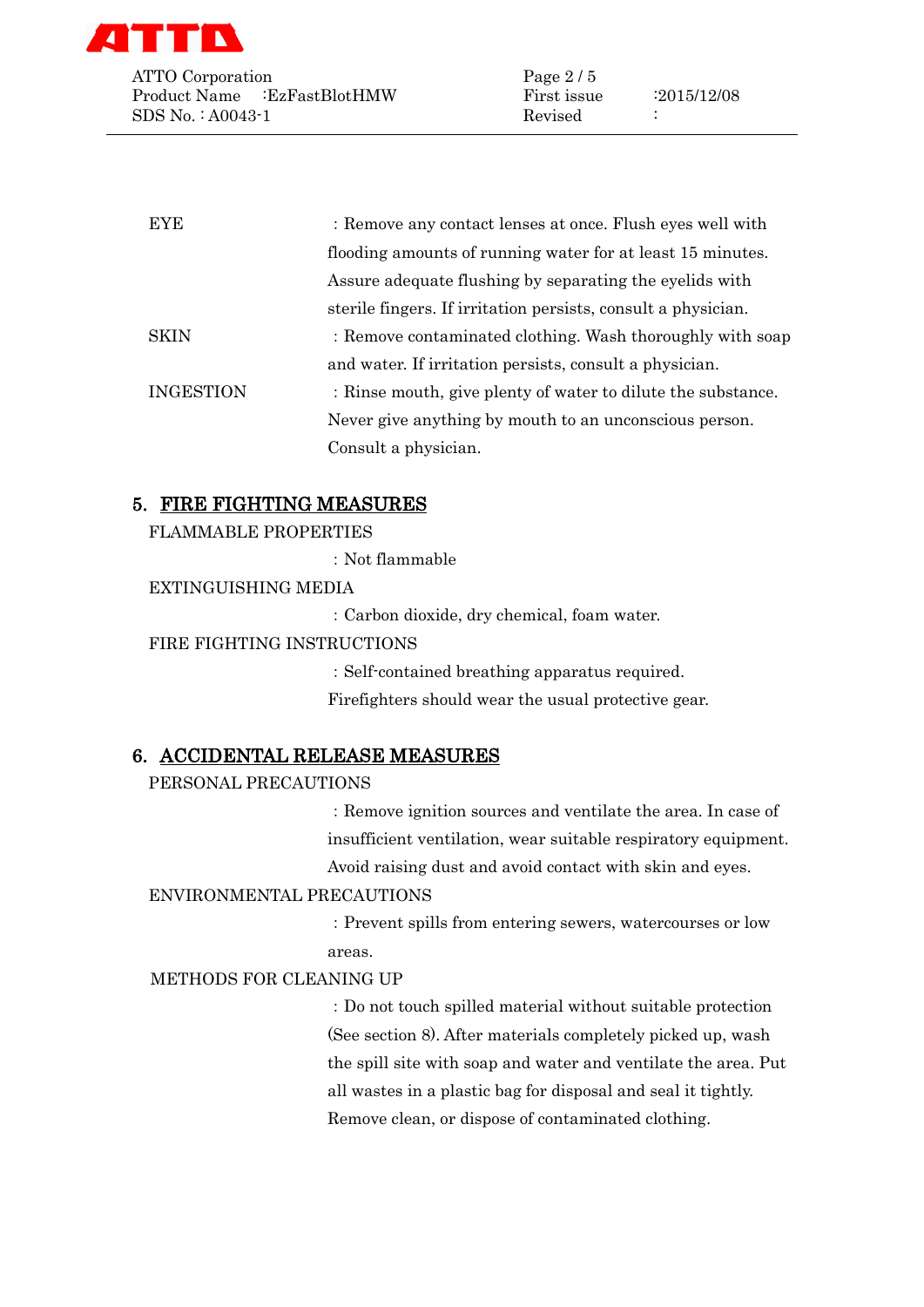

ATTO Corporation Page 2/5 Product Name :EzFastBlotHMW First issue :2015/12/08 SDS No. : A0043-1 Revised :

| <b>EYE</b>       | : Remove any contact lenses at once. Flush eyes well with     |
|------------------|---------------------------------------------------------------|
|                  | flooding amounts of running water for at least 15 minutes.    |
|                  | Assure adequate flushing by separating the eyelids with       |
|                  | sterile fingers. If irritation persists, consult a physician. |
| <b>SKIN</b>      | : Remove contaminated clothing. Wash thoroughly with soap     |
|                  | and water. If irritation persists, consult a physician.       |
| <b>INGESTION</b> | : Rinse mouth, give plenty of water to dilute the substance.  |
|                  | Never give anything by mouth to an unconscious person.        |
|                  | Consult a physician.                                          |

## 5. FIRE FIGHTING MEASURES

FLAMMABLE PROPERTIES

:Not flammable

EXTINGUISHING MEDIA

:Carbon dioxide, dry chemical, foam water.

FIRE FIGHTING INSTRUCTIONS

:Self-contained breathing apparatus required. Firefighters should wear the usual protective gear.

#### 6. ACCIDENTAL RELEASE MEASURES

PERSONAL PRECAUTIONS

:Remove ignition sources and ventilate the area. In case of insufficient ventilation, wear suitable respiratory equipment. Avoid raising dust and avoid contact with skin and eyes.

#### ENVIRONMENTAL PRECAUTIONS

:Prevent spills from entering sewers, watercourses or low areas.

METHODS FOR CLEANING UP

:Do not touch spilled material without suitable protection (See section 8). After materials completely picked up, wash the spill site with soap and water and ventilate the area. Put all wastes in a plastic bag for disposal and seal it tightly. Remove clean, or dispose of contaminated clothing.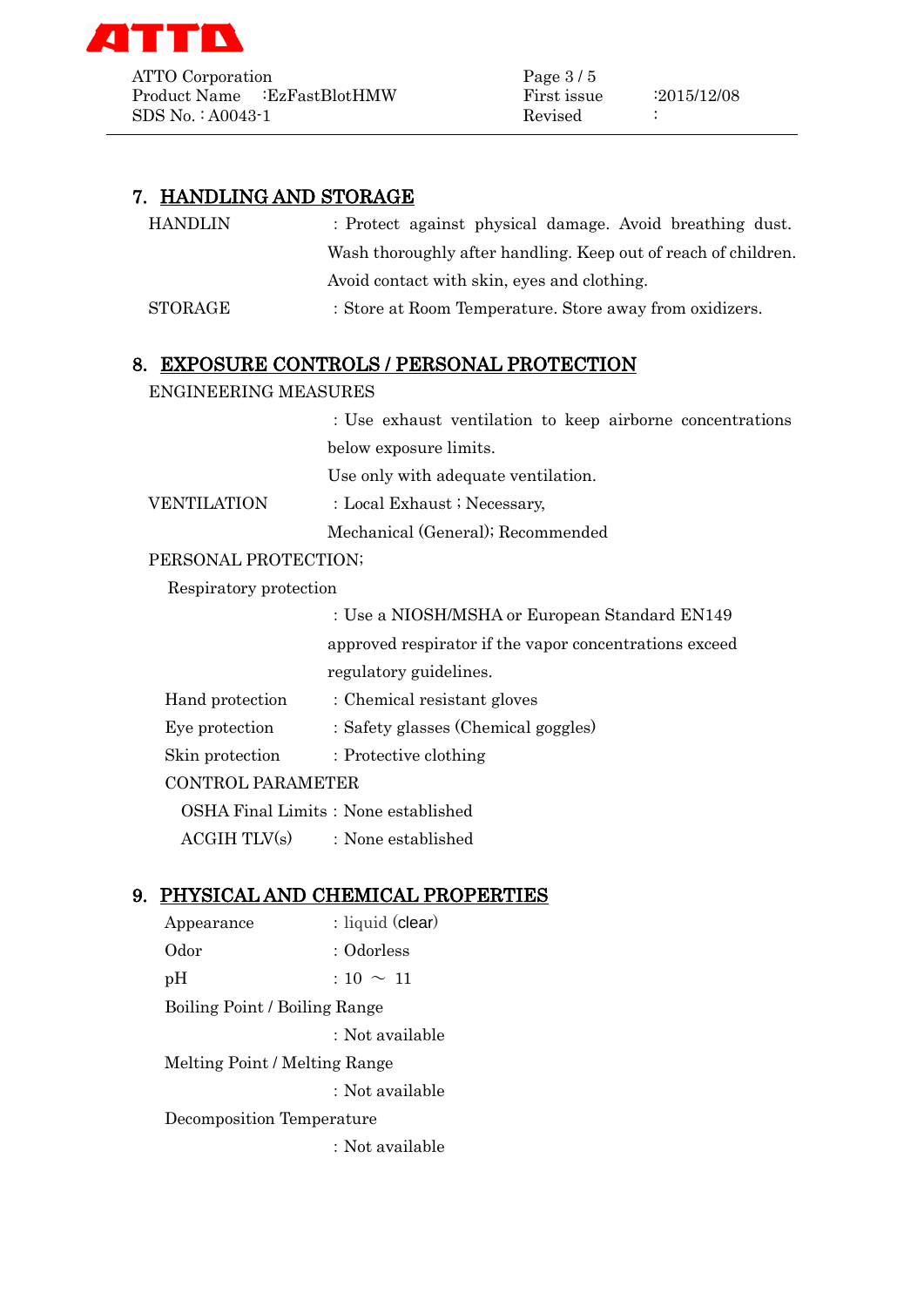

ATTO Corporation Page 3/5 Product Name :EzFastBlotHMW First issue :2015/12/08  $SDS No. : A0043-1$  Revised :

## 7. HANDLING AND STORAGE

| HANDLIN | : Protect against physical damage. Avoid breathing dust.       |
|---------|----------------------------------------------------------------|
|         | Wash thoroughly after handling. Keep out of reach of children. |
|         | Avoid contact with skin, eyes and clothing.                    |
| STORAGE | : Store at Room Temperature. Store away from oxidizers.        |
|         |                                                                |

#### 8. EXPOSURE CONTROLS / PERSONAL PROTECTION

#### ENGINEERING MEASURES

:Use exhaust ventilation to keep airborne concentrations below exposure limits.

Use only with adequate ventilation.

VENTILATION : Local Exhaust ; Necessary,

Mechanical (General); Recommended

#### PERSONAL PROTECTION;

Respiratory protection

:Use a NIOSH/MSHA or European Standard EN149 approved respirator if the vapor concentrations exceed regulatory guidelines.

| Hand protection          | : Chemical resistant gloves         |  |
|--------------------------|-------------------------------------|--|
| Eye protection           | : Safety glasses (Chemical goggles) |  |
| Skin protection          | : Protective clothing               |  |
| <b>CONTROL PARAMETER</b> |                                     |  |
|                          |                                     |  |

OSHA Final Limits: None established

 $ACGIH TLV(s)$  : None established

## 9. PHYSICAL AND CHEMICAL PROPERTIES

Appearance : liquid (clear) Odor : Odorless  $pH$  :  $10 \sim 11$ Boiling Point / Boiling Range :Not available Melting Point / Melting Range :Not available Decomposition Temperature :Not available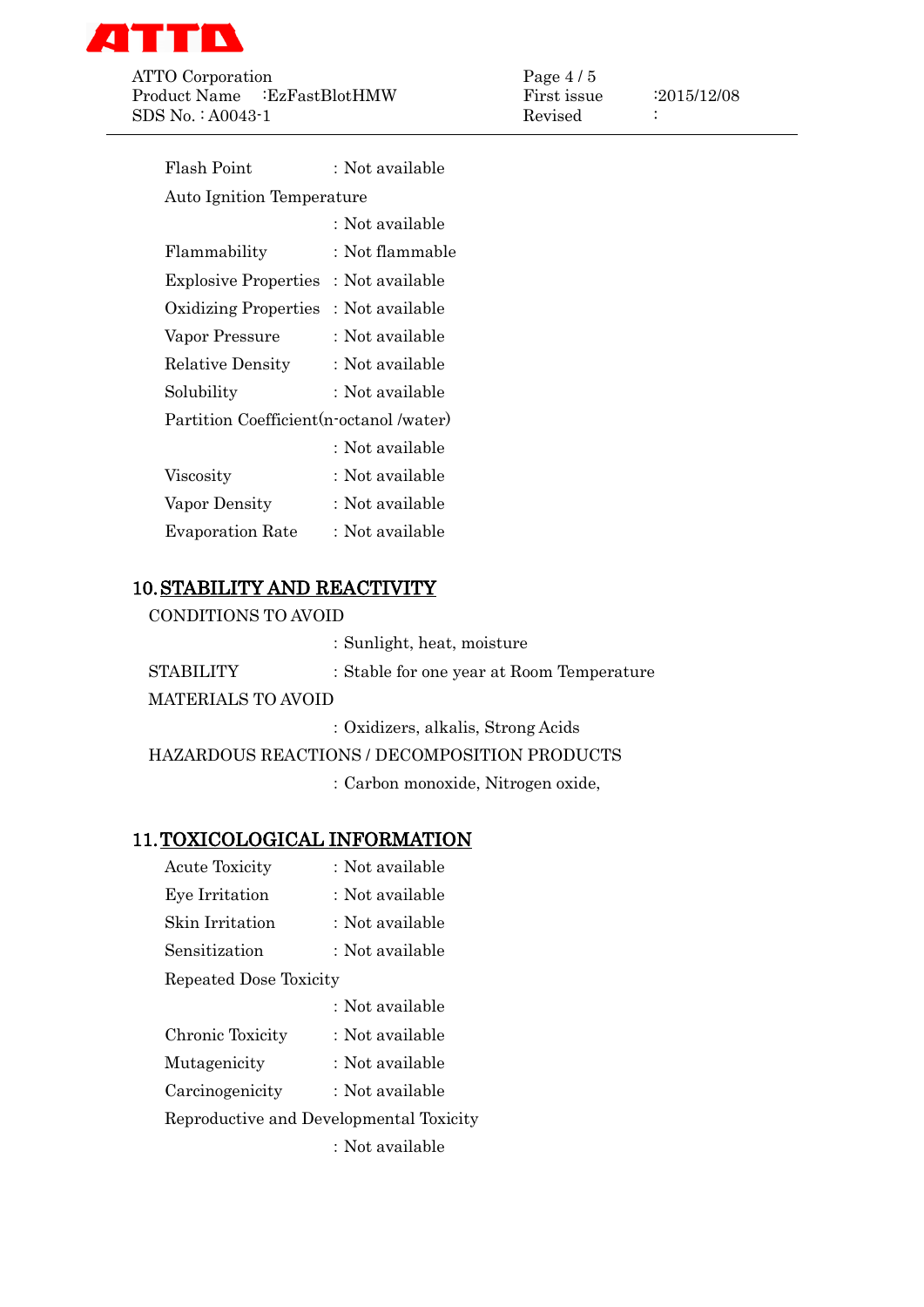

ATTO Corporation Page 4/5 Product Name :EzFastBlotHMW First issue :2015/12/08 SDS No.: A0043-1 Revised :

| Flash Point                              | : Not available |
|------------------------------------------|-----------------|
| Auto Ignition Temperature                |                 |
|                                          | : Not available |
| Flammability                             | : Not flammable |
| <b>Explosive Properties</b>              | : Not available |
| <b>Oxidizing Properties</b>              | : Not available |
| Vapor Pressure                           | : Not available |
| <b>Relative Density</b>                  | : Not available |
| Solubility                               | : Not available |
| Partition Coefficient (n-octanol /water) |                 |
|                                          | : Not available |
| Viscosity                                | : Not available |
| Vapor Density                            | : Not available |
| <b>Evaporation Rate</b>                  | : Not available |
|                                          |                 |

# 10.STABILITY AND REACTIVITY

CONDITIONS TO AVOID

|                           | : Sunlight, heat, moisture                                                                                                                                                                                                                                                                                  |
|---------------------------|-------------------------------------------------------------------------------------------------------------------------------------------------------------------------------------------------------------------------------------------------------------------------------------------------------------|
| <b>STABILITY</b>          | : Stable for one year at Room Temperature                                                                                                                                                                                                                                                                   |
| <b>MATERIALS TO AVOID</b> |                                                                                                                                                                                                                                                                                                             |
|                           | $\mathbf{u}$ , $\mathbf{u}$ , $\mathbf{u}$ , $\mathbf{u}$ , $\mathbf{u}$ , $\mathbf{u}$ , $\mathbf{u}$ , $\mathbf{u}$ , $\mathbf{u}$ , $\mathbf{u}$ , $\mathbf{u}$ , $\mathbf{u}$ , $\mathbf{u}$ , $\mathbf{u}$ , $\mathbf{u}$ , $\mathbf{u}$ , $\mathbf{u}$ , $\mathbf{u}$ , $\mathbf{u}$ , $\mathbf{u}$ , |

:Oxidizers, alkalis, Strong Acids

HAZARDOUS REACTIONS / DECOMPOSITION PRODUCTS

:Carbon monoxide, Nitrogen oxide,

## 11.TOXICOLOGICAL INFORMATION

| <b>Acute Toxicity</b>                   | : Not available |
|-----------------------------------------|-----------------|
| Eye Irritation                          | : Not available |
| Skin Irritation                         | : Not available |
| Sensitization                           | : Not available |
| Repeated Dose Toxicity                  |                 |
|                                         | : Not available |
| Chronic Toxicity                        | : Not available |
| Mutagenicity                            | : Not available |
| Carcinogenicity                         | : Not available |
| Reproductive and Developmental Toxicity |                 |
|                                         | : Not available |